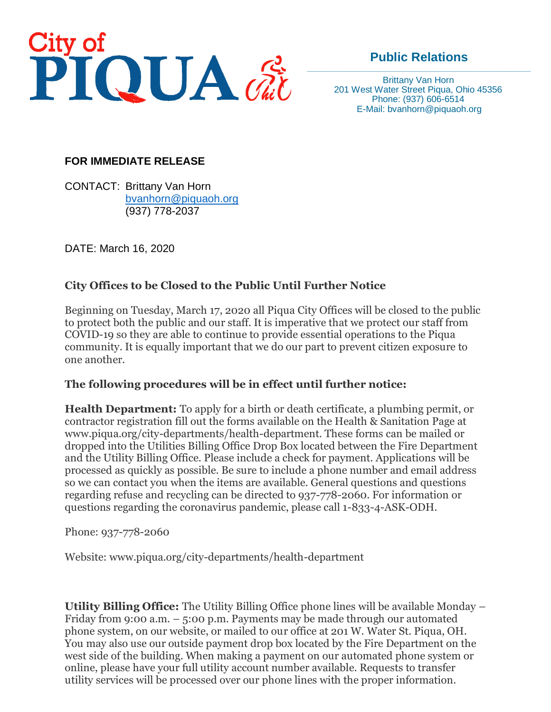

# **Public Relations**

Brittany Van Horn 201 West Water Street Piqua, Ohio 45356 Phone: (937) 606-6514 E-Mail: bvanhorn@piquaoh.org

### **FOR IMMEDIATE RELEASE**

CONTACT: Brittany Van Horn [bvanhorn@piquaoh.org](mailto:bvanhorn@piquaoh.org) (937) 778-2037

DATE: March 16, 2020

## **City Offices to be Closed to the Public Until Further Notice**

Beginning on Tuesday, March 17, 2020 all Piqua City Offices will be closed to the public to protect both the public and our staff. It is imperative that we protect our staff from COVID-19 so they are able to continue to provide essential operations to the Piqua community. It is equally important that we do our part to prevent citizen exposure to one another.

### **The following procedures will be in effect until further notice:**

**Health Department:** To apply for a birth or death certificate, a plumbing permit, or contractor registration fill out the forms available on the Health & Sanitation Page at www.piqua.org/city-departments/health-department. These forms can be mailed or dropped into the Utilities Billing Office Drop Box located between the Fire Department and the Utility Billing Office. Please include a check for payment. Applications will be processed as quickly as possible. Be sure to include a phone number and email address so we can contact you when the items are available. General questions and questions regarding refuse and recycling can be directed to 937-778-2060. For information or questions regarding the coronavirus pandemic, please call 1-833-4-ASK-ODH.

#### Phone: 937-778-2060

Website: www.piqua.org/city-departments/health-department

**Utility Billing Office:** The Utility Billing Office phone lines will be available Monday – Friday from 9:00 a.m. – 5:00 p.m. Payments may be made through our automated phone system, on our website, or mailed to our office at 201 W. Water St. Piqua, OH. You may also use our outside payment drop box located by the Fire Department on the west side of the building. When making a payment on our automated phone system or online, please have your full utility account number available. Requests to transfer utility services will be processed over our phone lines with the proper information.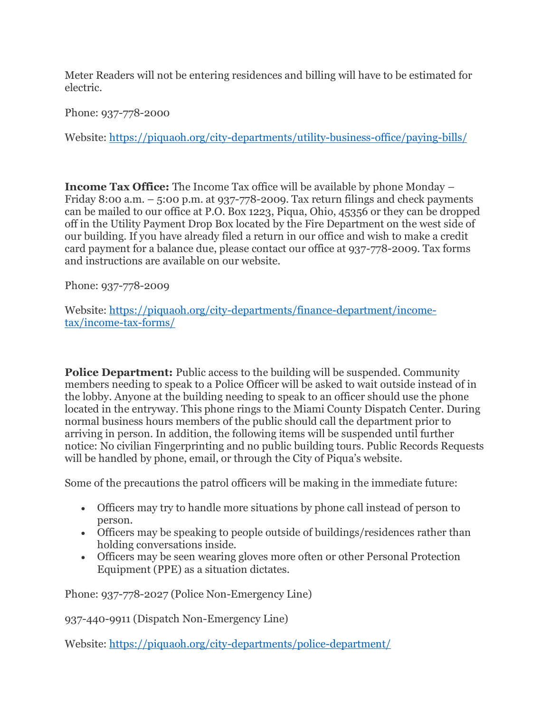Meter Readers will not be entering residences and billing will have to be estimated for electric.

Phone: 937-778-2000

Website:<https://piquaoh.org/city-departments/utility-business-office/paying-bills/>

**Income Tax Office:** The Income Tax office will be available by phone Monday – Friday 8:00 a.m.  $-$  5:00 p.m. at 937-778-2009. Tax return filings and check payments can be mailed to our office at P.O. Box 1223, Piqua, Ohio, 45356 or they can be dropped off in the Utility Payment Drop Box located by the Fire Department on the west side of our building. If you have already filed a return in our office and wish to make a credit card payment for a balance due, please contact our office at 937-778-2009. Tax forms and instructions are available on our website.

Phone: 937-778-2009

Website: [https://piquaoh.org/city-departments/finance-department/income](https://piquaoh.org/city-departments/finance-department/income-tax/income-tax-forms/)[tax/income-tax-forms/](https://piquaoh.org/city-departments/finance-department/income-tax/income-tax-forms/)

**Police Department:** Public access to the building will be suspended. Community members needing to speak to a Police Officer will be asked to wait outside instead of in the lobby. Anyone at the building needing to speak to an officer should use the phone located in the entryway. This phone rings to the Miami County Dispatch Center. During normal business hours members of the public should call the department prior to arriving in person. In addition, the following items will be suspended until further notice: No civilian Fingerprinting and no public building tours. Public Records Requests will be handled by phone, email, or through the City of Piqua's website.

Some of the precautions the patrol officers will be making in the immediate future:

- Officers may try to handle more situations by phone call instead of person to person.
- Officers may be speaking to people outside of buildings/residences rather than holding conversations inside.
- Officers may be seen wearing gloves more often or other Personal Protection Equipment (PPE) as a situation dictates.

Phone: 937-778-2027 (Police Non-Emergency Line)

937-440-9911 (Dispatch Non-Emergency Line)

Website:<https://piquaoh.org/city-departments/police-department/>